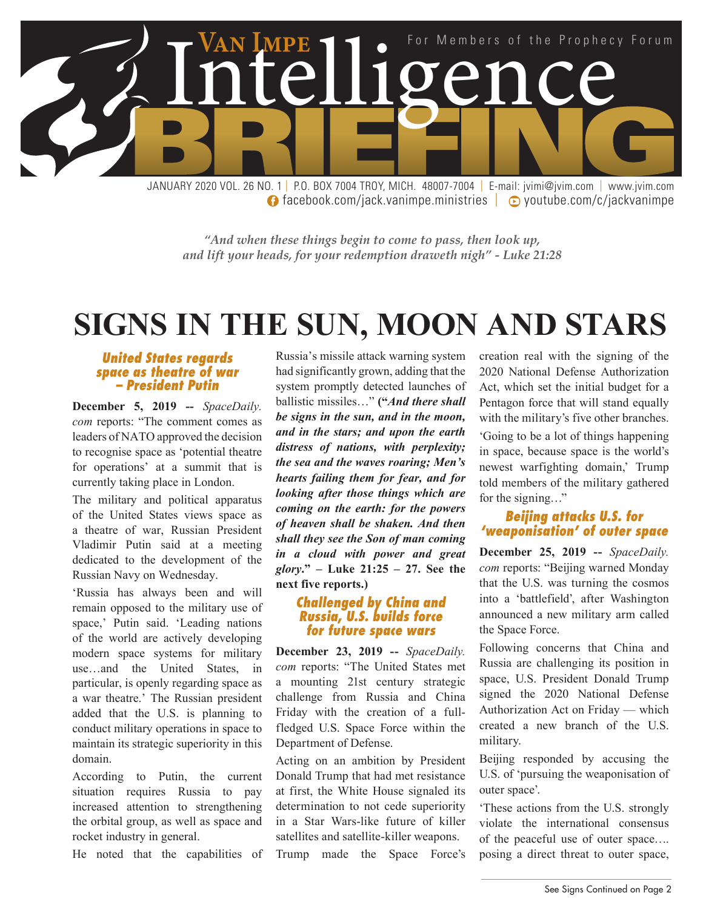

**facebook.com/jack.vanimpe.ministries | © youtube.com/c/jackvanimpe** 

*"And when these things begin to come to pass, then look up, and lift your heads, for your redemption draweth nigh" - Luke 21:28*

# **SIGNS IN THE SUN, MOON AND STARS**

#### *United States regards space as theatre of war – President Putin*

**December 5, 2019 --** *SpaceDaily. com* reports: "The comment comes as leaders of NATO approved the decision to recognise space as 'potential theatre for operations' at a summit that is currently taking place in London.

The military and political apparatus of the United States views space as a theatre of war, Russian President Vladimir Putin said at a meeting dedicated to the development of the Russian Navy on Wednesday.

'Russia has always been and will remain opposed to the military use of space,' Putin said. 'Leading nations of the world are actively developing modern space systems for military use…and the United States, in particular, is openly regarding space as a war theatre.' The Russian president added that the U.S. is planning to conduct military operations in space to maintain its strategic superiority in this domain.

According to Putin, the current situation requires Russia to pay increased attention to strengthening the orbital group, as well as space and rocket industry in general.

He noted that the capabilities of

Russia's missile attack warning system had significantly grown, adding that the system promptly detected launches of ballistic missiles…" **("***And there shall be signs in the sun, and in the moon, and in the stars; and upon the earth distress of nations, with perplexity; the sea and the waves roaring; Men's hearts failing them for fear, and for looking after those things which are coming on the earth: for the powers of heaven shall be shaken. And then shall they see the Son of man coming in a cloud with power and great glory***." – Luke 21:25 – 27. See the next five reports.)**

# *Challenged by China and Russia, U.S. builds force for future space wars*

**December 23, 2019 --** *SpaceDaily. com* reports: "The United States met a mounting 21st century strategic challenge from Russia and China Friday with the creation of a fullfledged U.S. Space Force within the Department of Defense.

Acting on an ambition by President Donald Trump that had met resistance at first, the White House signaled its determination to not cede superiority in a Star Wars-like future of killer satellites and satellite-killer weapons.

Trump made the Space Force's

creation real with the signing of the 2020 National Defense Authorization Act, which set the initial budget for a Pentagon force that will stand equally with the military's five other branches.

'Going to be a lot of things happening in space, because space is the world's newest warfighting domain,' Trump told members of the military gathered for the signing…"

# *Beijing attacks U.S. for 'weaponisation' of outer space*

**December 25, 2019 --** *SpaceDaily. com* reports: "Beijing warned Monday that the U.S. was turning the cosmos into a 'battlefield', after Washington announced a new military arm called the Space Force.

Following concerns that China and Russia are challenging its position in space, U.S. President Donald Trump signed the 2020 National Defense Authorization Act on Friday — which created a new branch of the U.S. military.

Beijing responded by accusing the U.S. of 'pursuing the weaponisation of outer space'.

'These actions from the U.S. strongly violate the international consensus of the peaceful use of outer space…. posing a direct threat to outer space,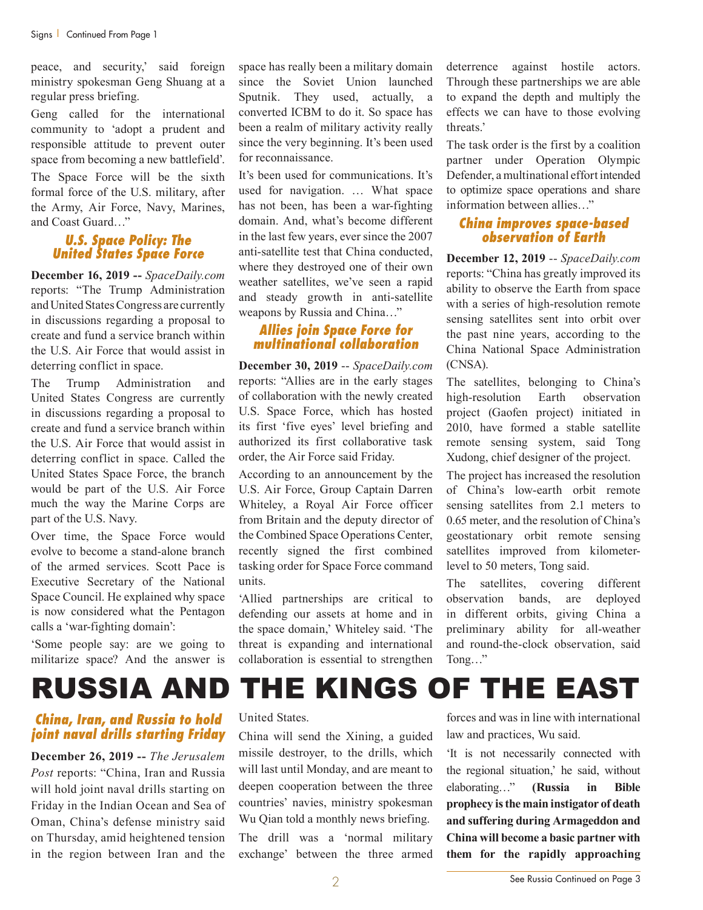peace, and security,' said foreign ministry spokesman Geng Shuang at a regular press briefing.

Geng called for the international community to 'adopt a prudent and responsible attitude to prevent outer space from becoming a new battlefield'. The Space Force will be the sixth formal force of the U.S. military, after the Army, Air Force, Navy, Marines, and Coast Guard…"

#### *U.S. Space Policy: The United States Space Force*

**December 16, 2019 --** *SpaceDaily.com* reports: "The Trump Administration and United States Congress are currently in discussions regarding a proposal to create and fund a service branch within the U.S. Air Force that would assist in deterring conflict in space.

The Trump Administration and United States Congress are currently in discussions regarding a proposal to create and fund a service branch within the U.S. Air Force that would assist in deterring conflict in space. Called the United States Space Force, the branch would be part of the U.S. Air Force much the way the Marine Corps are part of the U.S. Navy.

Over time, the Space Force would evolve to become a stand-alone branch of the armed services. Scott Pace is Executive Secretary of the National Space Council. He explained why space is now considered what the Pentagon calls a 'war-fighting domain':

'Some people say: are we going to militarize space? And the answer is space has really been a military domain since the Soviet Union launched Sputnik. They used, actually, a converted ICBM to do it. So space has been a realm of military activity really since the very beginning. It's been used for reconnaissance.

It's been used for communications. It's used for navigation. … What space has not been, has been a war-fighting domain. And, what's become different in the last few years, ever since the 2007 anti-satellite test that China conducted, where they destroyed one of their own weather satellites, we've seen a rapid and steady growth in anti-satellite weapons by Russia and China…"

# *Allies join Space Force for multinational collaboration*

**December 30, 2019** -- *SpaceDaily.com* reports: "Allies are in the early stages of collaboration with the newly created U.S. Space Force, which has hosted its first 'five eyes' level briefing and authorized its first collaborative task order, the Air Force said Friday.

According to an announcement by the U.S. Air Force, Group Captain Darren Whiteley, a Royal Air Force officer from Britain and the deputy director of the Combined Space Operations Center, recently signed the first combined tasking order for Space Force command units.

'Allied partnerships are critical to defending our assets at home and in the space domain,' Whiteley said. 'The threat is expanding and international collaboration is essential to strengthen deterrence against hostile actors. Through these partnerships we are able to expand the depth and multiply the effects we can have to those evolving threats.'

The task order is the first by a coalition partner under Operation Olympic Defender, a multinational effort intended to optimize space operations and share information between allies…"

### *China improves space-based observation of Earth*

**December 12, 2019** -- *SpaceDaily.com* reports: "China has greatly improved its ability to observe the Earth from space with a series of high-resolution remote sensing satellites sent into orbit over the past nine years, according to the China National Space Administration (CNSA).

The satellites, belonging to China's high-resolution Earth observation project (Gaofen project) initiated in 2010, have formed a stable satellite remote sensing system, said Tong Xudong, chief designer of the project.

The project has increased the resolution of China's low-earth orbit remote sensing satellites from 2.1 meters to 0.65 meter, and the resolution of China's geostationary orbit remote sensing satellites improved from kilometerlevel to 50 meters, Tong said.

The satellites, covering different observation bands, are deployed in different orbits, giving China a preliminary ability for all-weather and round-the-clock observation, said Tong…"

# RUSSIA AND THE KINGS OF THE EAST

#### *China, Iran, and Russia to hold joint naval drills starting Friday*

**December 26, 2019 --** *The Jerusalem Post* reports: "China, Iran and Russia will hold joint naval drills starting on Friday in the Indian Ocean and Sea of Oman, China's defense ministry said on Thursday, amid heightened tension in the region between Iran and the

#### United States.

China will send the Xining, a guided missile destroyer, to the drills, which will last until Monday, and are meant to deepen cooperation between the three countries' navies, ministry spokesman Wu Qian told a monthly news briefing.

The drill was a 'normal military exchange' between the three armed forces and was in line with international law and practices, Wu said.

'It is not necessarily connected with the regional situation,' he said, without elaborating…" **(Russia in Bible prophecy is the main instigator of death and suffering during Armageddon and China will become a basic partner with them for the rapidly approaching**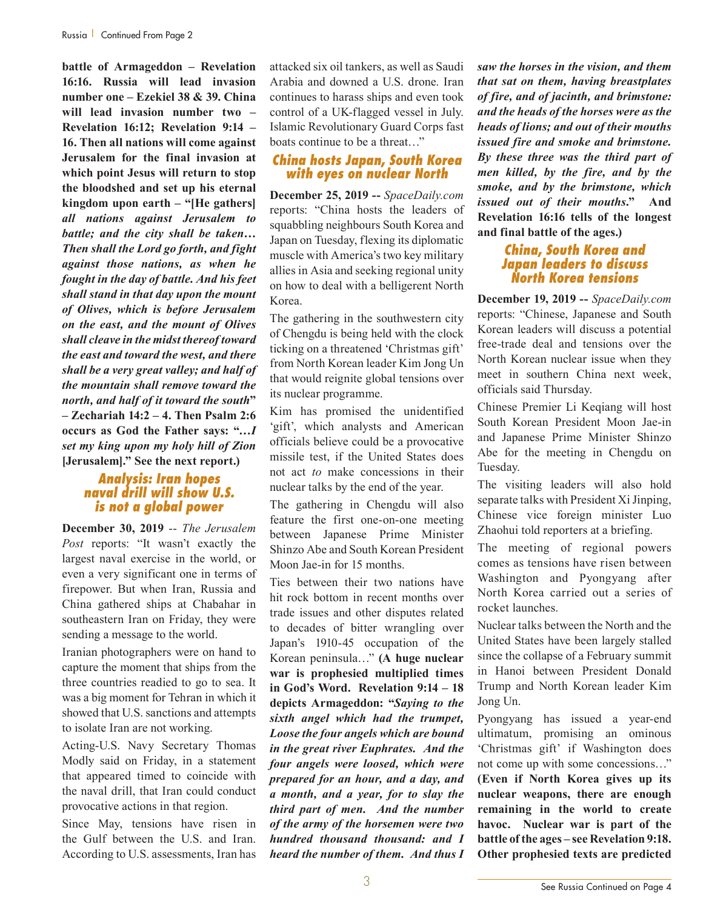**battle of Armageddon – Revelation 16:16. Russia will lead invasion number one – Ezekiel 38 & 39. China will lead invasion number two – Revelation 16:12; Revelation 9:14 – 16. Then all nations will come against Jerusalem for the final invasion at which point Jesus will return to stop the bloodshed and set up his eternal kingdom upon earth – "[He gathers]**  *all nations against Jerusalem to battle; and the city shall be taken… Then shall the Lord go forth, and fight against those nations, as when he fought in the day of battle. And his feet shall stand in that day upon the mount of Olives, which is before Jerusalem on the east, and the mount of Olives shall cleave in the midst thereof toward the east and toward the west, and there shall be a very great valley; and half of the mountain shall remove toward the north, and half of it toward the south***" – Zechariah 14:2 – 4. Then Psalm 2:6 occurs as God the Father says: "…***I set my king upon my holy hill of Zion* **[Jerusalem]." See the next report.)**

### *Analysis: Iran hopes naval drill will show U.S. is not a global power*

**December 30, 2019** -- *The Jerusalem Post* reports: "It wasn't exactly the largest naval exercise in the world, or even a very significant one in terms of firepower. But when Iran, Russia and China gathered ships at Chabahar in southeastern Iran on Friday, they were sending a message to the world.

Iranian photographers were on hand to capture the moment that ships from the three countries readied to go to sea. It was a big moment for Tehran in which it showed that U.S. sanctions and attempts to isolate Iran are not working.

Acting-U.S. Navy Secretary Thomas Modly said on Friday, in a statement that appeared timed to coincide with the naval drill, that Iran could conduct provocative actions in that region.

Since May, tensions have risen in the Gulf between the U.S. and Iran. According to U.S. assessments, Iran has attacked six oil tankers, as well as Saudi Arabia and downed a U.S. drone. Iran continues to harass ships and even took control of a UK-flagged vessel in July. Islamic Revolutionary Guard Corps fast boats continue to be a threat…"

#### *China hosts Japan, South Korea with eyes on nuclear North*

**December 25, 2019 --** *SpaceDaily.com* reports: "China hosts the leaders of squabbling neighbours South Korea and Japan on Tuesday, flexing its diplomatic muscle with America's two key military allies in Asia and seeking regional unity on how to deal with a belligerent North Korea.

The gathering in the southwestern city of Chengdu is being held with the clock ticking on a threatened 'Christmas gift' from North Korean leader Kim Jong Un that would reignite global tensions over its nuclear programme.

Kim has promised the unidentified 'gift', which analysts and American officials believe could be a provocative missile test, if the United States does not act *to* make concessions in their nuclear talks by the end of the year.

The gathering in Chengdu will also feature the first one-on-one meeting between Japanese Prime Minister Shinzo Abe and South Korean President Moon Jae-in for 15 months.

Ties between their two nations have hit rock bottom in recent months over trade issues and other disputes related to decades of bitter wrangling over Japan's 1910-45 occupation of the Korean peninsula…" **(A huge nuclear war is prophesied multiplied times in God's Word. Revelation 9:14 – 18 depicts Armageddon: "***Saying to the sixth angel which had the trumpet, Loose the four angels which are bound in the great river Euphrates. And the four angels were loosed, which were prepared for an hour, and a day, and a month, and a year, for to slay the third part of men. And the number of the army of the horsemen were two hundred thousand thousand: and I heard the number of them. And thus I*  *saw the horses in the vision, and them that sat on them, having breastplates of fire, and of jacinth, and brimstone: and the heads of the horses were as the heads of lions; and out of their mouths issued fire and smoke and brimstone. By these three was the third part of men killed, by the fire, and by the smoke, and by the brimstone, which issued out of their mouths***." And Revelation 16:16 tells of the longest and final battle of the ages.)**

#### *China, South Korea and Japan leaders to discuss North Korea tensions*

**December 19, 2019 --** *SpaceDaily.com* reports: "Chinese, Japanese and South Korean leaders will discuss a potential free-trade deal and tensions over the North Korean nuclear issue when they meet in southern China next week, officials said Thursday.

Chinese Premier Li Keqiang will host South Korean President Moon Jae-in and Japanese Prime Minister Shinzo Abe for the meeting in Chengdu on Tuesday.

The visiting leaders will also hold separate talks with President Xi Jinping, Chinese vice foreign minister Luo Zhaohui told reporters at a briefing.

The meeting of regional powers comes as tensions have risen between Washington and Pyongyang after North Korea carried out a series of rocket launches.

Nuclear talks between the North and the United States have been largely stalled since the collapse of a February summit in Hanoi between President Donald Trump and North Korean leader Kim Jong Un.

Pyongyang has issued a year-end ultimatum, promising an ominous 'Christmas gift' if Washington does not come up with some concessions…" **(Even if North Korea gives up its nuclear weapons, there are enough remaining in the world to create havoc. Nuclear war is part of the battle of the ages – see Revelation 9:18. Other prophesied texts are predicted**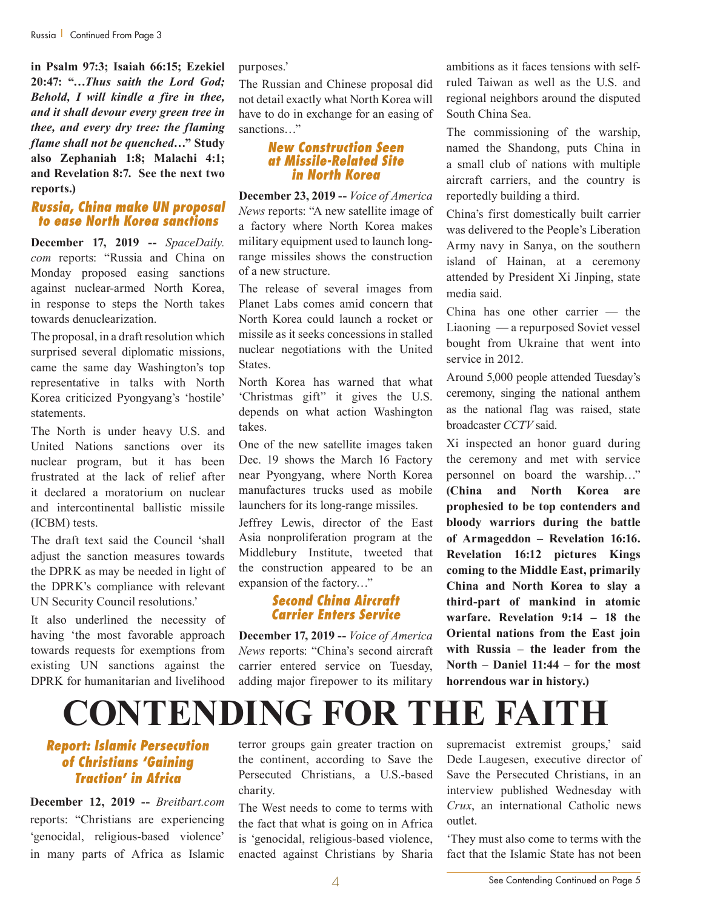**in Psalm 97:3; Isaiah 66:15; Ezekiel 20:47: "…***Thus saith the Lord God; Behold, I will kindle a fire in thee, and it shall devour every green tree in thee, and every dry tree: the flaming flame shall not be quenched***…" Study also Zephaniah 1:8; Malachi 4:1; and Revelation 8:7. See the next two reports.)**

#### *Russia, China make UN proposal to ease North Korea sanctions*

**December 17, 2019 --** *SpaceDaily. com* reports: "Russia and China on Monday proposed easing sanctions against nuclear-armed North Korea, in response to steps the North takes towards denuclearization.

The proposal, in a draft resolution which surprised several diplomatic missions, came the same day Washington's top representative in talks with North Korea criticized Pyongyang's 'hostile' statements.

The North is under heavy U.S. and United Nations sanctions over its nuclear program, but it has been frustrated at the lack of relief after it declared a moratorium on nuclear and intercontinental ballistic missile (ICBM) tests.

The draft text said the Council 'shall adjust the sanction measures towards the DPRK as may be needed in light of the DPRK's compliance with relevant UN Security Council resolutions.'

It also underlined the necessity of having 'the most favorable approach towards requests for exemptions from existing UN sanctions against the DPRK for humanitarian and livelihood

purposes.'

The Russian and Chinese proposal did not detail exactly what North Korea will have to do in exchange for an easing of sanctions…"

#### *New Construction Seen at Missile-Related Site in North Korea*

**December 23, 2019 --** *Voice of America News* reports: "A new satellite image of a factory where North Korea makes military equipment used to launch longrange missiles shows the construction of a new structure.

The release of several images from Planet Labs comes amid concern that North Korea could launch a rocket or missile as it seeks concessions in stalled nuclear negotiations with the United **States** 

North Korea has warned that what 'Christmas gift" it gives the U.S. depends on what action Washington takes.

One of the new satellite images taken Dec. 19 shows the March 16 Factory near Pyongyang, where North Korea manufactures trucks used as mobile launchers for its long-range missiles.

Jeffrey Lewis, director of the East Asia nonproliferation program at the Middlebury Institute, tweeted that the construction appeared to be an expansion of the factory…"

#### *Second China Aircraft Carrier Enters Service*

**December 17, 2019 --** *Voice of America News* reports: "China's second aircraft carrier entered service on Tuesday, adding major firepower to its military

ambitions as it faces tensions with selfruled Taiwan as well as the U.S. and regional neighbors around the disputed South China Sea.

The commissioning of the warship, named the Shandong, puts China in a small club of nations with multiple aircraft carriers, and the country is reportedly building a third.

China's first domestically built carrier was delivered to the People's Liberation Army navy in Sanya, on the southern island of Hainan, at a ceremony attended by President Xi Jinping, state media said.

China has one other carrier — the Liaoning — a repurposed Soviet vessel bought from Ukraine that went into service in 2012.

Around 5,000 people attended Tuesday's ceremony, singing the national anthem as the national flag was raised, state broadcaster *CCTV* said.

Xi inspected an honor guard during the ceremony and met with service personnel on board the warship…" **(China and North Korea are prophesied to be top contenders and bloody warriors during the battle of Armageddon – Revelation 16:16. Revelation 16:12 pictures Kings coming to the Middle East, primarily China and North Korea to slay a third-part of mankind in atomic warfare. Revelation 9:14 – 18 the Oriental nations from the East join with Russia – the leader from the North – Daniel 11:44 – for the most horrendous war in history.)**



# *Report: Islamic Persecution of Christians 'Gaining Traction' in Africa*

**December 12, 2019 --** *Breitbart.com* reports: "Christians are experiencing 'genocidal, religious-based violence' in many parts of Africa as Islamic terror groups gain greater traction on the continent, according to Save the Persecuted Christians, a U.S.-based charity.

The West needs to come to terms with the fact that what is going on in Africa is 'genocidal, religious-based violence, enacted against Christians by Sharia

supremacist extremist groups,' said Dede Laugesen, executive director of Save the Persecuted Christians, in an interview published Wednesday with *Crux*, an international Catholic news outlet.

'They must also come to terms with the fact that the Islamic State has not been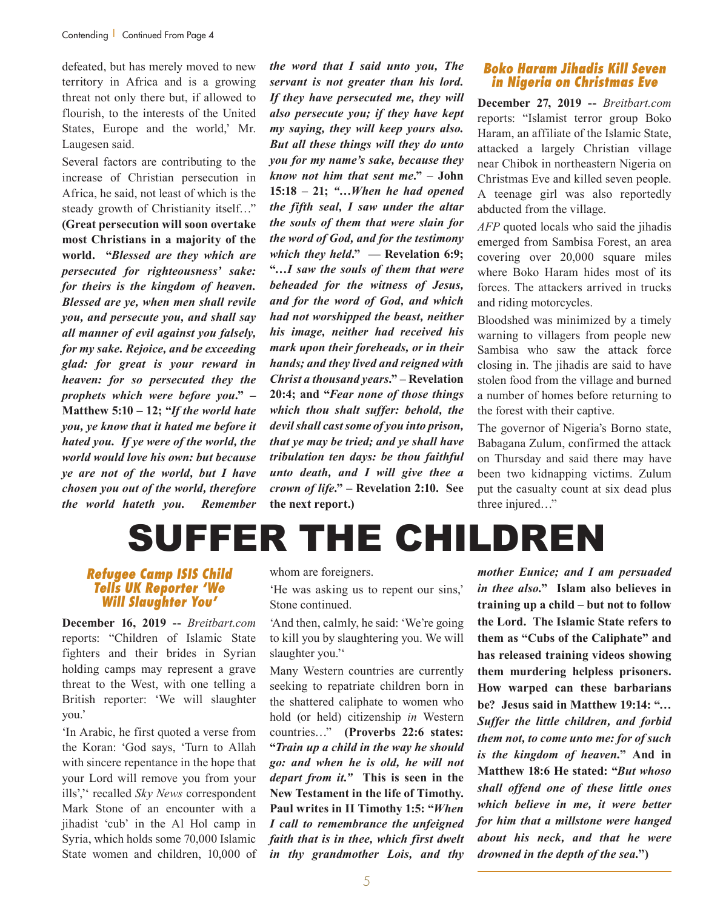defeated, but has merely moved to new territory in Africa and is a growing threat not only there but, if allowed to flourish, to the interests of the United States, Europe and the world,' Mr. Laugesen said.

Several factors are contributing to the increase of Christian persecution in Africa, he said, not least of which is the steady growth of Christianity itself…" **(Great persecution will soon overtake most Christians in a majority of the world. "***Blessed are they which are persecuted for righteousness' sake: for theirs is the kingdom of heaven. Blessed are ye, when men shall revile you, and persecute you, and shall say all manner of evil against you falsely, for my sake. Rejoice, and be exceeding glad: for great is your reward in heaven: for so persecuted they the prophets which were before you***." – Matthew 5:10 – 12; "***If the world hate you, ye know that it hated me before it hated you. If ye were of the world, the world would love his own: but because ye are not of the world, but I have chosen you out of the world, therefore the world hateth you. Remember*  *the word that I said unto you, The servant is not greater than his lord. If they have persecuted me, they will also persecute you; if they have kept my saying, they will keep yours also. But all these things will they do unto you for my name's sake, because they know not him that sent me***." – John 15:18 – 21;** *"…When he had opened the fifth seal, I saw under the altar the souls of them that were slain for the word of God, and for the testimony which they held***." — Revelation 6:9; "…***I saw the souls of them that were beheaded for the witness of Jesus, and for the word of God, and which had not worshipped the beast, neither his image, neither had received his mark upon their foreheads, or in their hands; and they lived and reigned with Christ a thousand years***." – Revelation 20:4; and "***Fear none of those things which thou shalt suffer: behold, the devil shall cast some of you into prison, that ye may be tried; and ye shall have tribulation ten days: be thou faithful unto death, and I will give thee a crown of life***." – Revelation 2:10. See the next report.)**

#### *Boko Haram Jihadis Kill Seven in Nigeria on Christmas Eve*

**December 27, 2019 --** *Breitbart.com* reports: "Islamist terror group Boko Haram, an affiliate of the Islamic State, attacked a largely Christian village near Chibok in northeastern Nigeria on Christmas Eve and killed seven people. A teenage girl was also reportedly abducted from the village.

*AFP* quoted locals who said the jihadis emerged from Sambisa Forest, an area covering over 20,000 square miles where Boko Haram hides most of its forces. The attackers arrived in trucks and riding motorcycles.

Bloodshed was minimized by a timely warning to villagers from people new Sambisa who saw the attack force closing in. The jihadis are said to have stolen food from the village and burned a number of homes before returning to the forest with their captive.

The governor of Nigeria's Borno state, Babagana Zulum, confirmed the attack on Thursday and said there may have been two kidnapping victims. Zulum put the casualty count at six dead plus three injured…"

# SUFFER THE CHILDREN

#### *Refugee Camp ISIS Child Tells UK Reporter 'We Will Slaughter You'*

**December 16, 2019 --** *Breitbart.com* reports: "Children of Islamic State fighters and their brides in Syrian holding camps may represent a grave threat to the West, with one telling a British reporter: 'We will slaughter you.'

'In Arabic, he first quoted a verse from the Koran: 'God says, 'Turn to Allah with sincere repentance in the hope that your Lord will remove you from your ills','' recalled *Sky News* correspondent Mark Stone of an encounter with a jihadist 'cub' in the Al Hol camp in Syria, which holds some 70,000 Islamic State women and children, 10,000 of whom are foreigners.

'He was asking us to repent our sins,' Stone continued.

'And then, calmly, he said: 'We're going to kill you by slaughtering you. We will slaughter you.''

Many Western countries are currently seeking to repatriate children born in the shattered caliphate to women who hold (or held) citizenship *in* Western countries…" **(Proverbs 22:6 states: "***Train up a child in the way he should go: and when he is old, he will not depart from it."* **This is seen in the New Testament in the life of Timothy. Paul writes in II Timothy 1:5: "***When I call to remembrance the unfeigned faith that is in thee, which first dwelt in thy grandmother Lois, and thy* 

*mother Eunice; and I am persuaded in thee also.***" Islam also believes in training up a child – but not to follow the Lord. The Islamic State refers to them as "Cubs of the Caliphate" and has released training videos showing them murdering helpless prisoners. How warped can these barbarians be? Jesus said in Matthew 19:14: "***… Suffer the little children, and forbid them not, to come unto me: for of such is the kingdom of heaven.***" And in Matthew 18:6 He stated: "***But whoso shall offend one of these little ones which believe in me, it were better for him that a millstone were hanged about his neck, and that he were drowned in the depth of the sea.***")**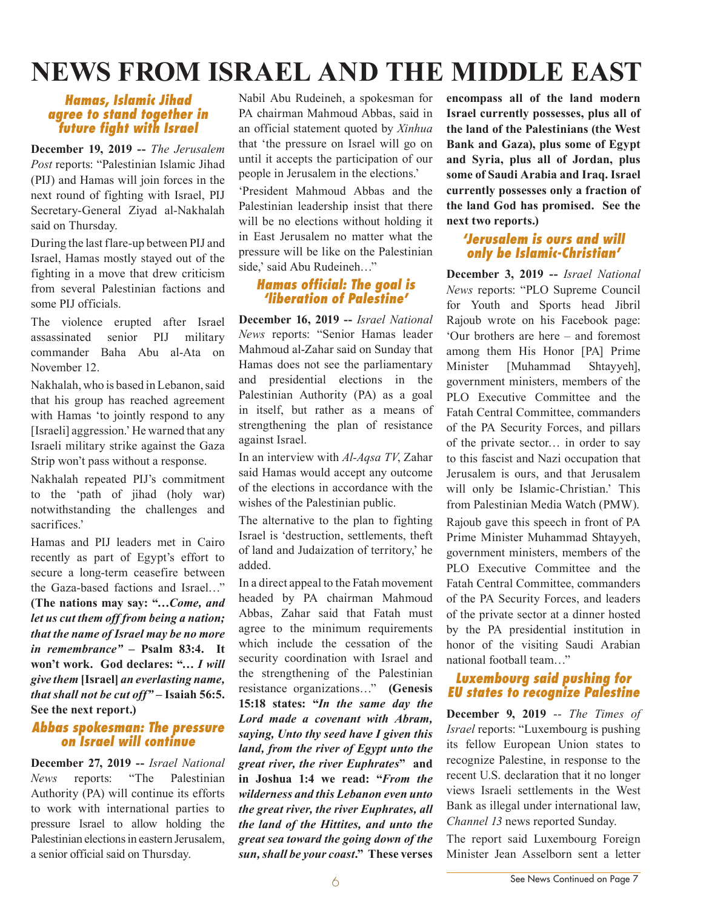# **NEWS FROM ISRAEL AND THE MIDDLE EAST**

#### *Hamas, Islamic Jihad agree to stand together in future fight with Israel*

**December 19, 2019 --** *The Jerusalem Post* reports: "Palestinian Islamic Jihad (PIJ) and Hamas will join forces in the next round of fighting with Israel, PIJ Secretary-General Ziyad al-Nakhalah said on Thursday.

During the last flare-up between PIJ and Israel, Hamas mostly stayed out of the fighting in a move that drew criticism from several Palestinian factions and some PIJ officials.

The violence erupted after Israel assassinated senior PIJ military commander Baha Abu al-Ata on November 12.

Nakhalah, who is based in Lebanon, said that his group has reached agreement with Hamas 'to jointly respond to any [Israeli] aggression.' He warned that any Israeli military strike against the Gaza Strip won't pass without a response.

Nakhalah repeated PIJ's commitment to the 'path of jihad (holy war) notwithstanding the challenges and sacrifices.'

Hamas and PIJ leaders met in Cairo recently as part of Egypt's effort to secure a long-term ceasefire between the Gaza-based factions and Israel…"

**(The nations may say: "…***Come, and let us cut them off from being a nation; that the name of Israel may be no more in remembrance"* **– Psalm 83:4. It won't work. God declares: "***… I will give them* **[Israel]** *an everlasting name, that shall not be cut off"* **– Isaiah 56:5. See the next report.)**

# *Abbas spokesman: The pressure on Israel will continue*

**December 27, 2019 --** *Israel National News* reports: "The Palestinian Authority (PA) will continue its efforts to work with international parties to pressure Israel to allow holding the Palestinian elections in eastern Jerusalem, a senior official said on Thursday.

Nabil Abu Rudeineh, a spokesman for PA chairman Mahmoud Abbas, said in an official statement quoted by *Xinhua* that 'the pressure on Israel will go on until it accepts the participation of our people in Jerusalem in the elections.'

'President Mahmoud Abbas and the Palestinian leadership insist that there will be no elections without holding it in East Jerusalem no matter what the pressure will be like on the Palestinian side,' said Abu Rudeineh…"

#### *Hamas official: The goal is 'liberation of Palestine'*

**December 16, 2019 --** *Israel National News* reports: "Senior Hamas leader Mahmoud al-Zahar said on Sunday that Hamas does not see the parliamentary and presidential elections in the Palestinian Authority (PA) as a goal in itself, but rather as a means of strengthening the plan of resistance against Israel.

In an interview with *Al-Aqsa TV*, Zahar said Hamas would accept any outcome of the elections in accordance with the wishes of the Palestinian public.

The alternative to the plan to fighting Israel is 'destruction, settlements, theft of land and Judaization of territory,' he added.

In a direct appeal to the Fatah movement headed by PA chairman Mahmoud Abbas, Zahar said that Fatah must agree to the minimum requirements which include the cessation of the security coordination with Israel and the strengthening of the Palestinian resistance organizations…" **(Genesis 15:18 states: "***In the same day the Lord made a covenant with Abram, saying, Unto thy seed have I given this land, from the river of Egypt unto the great river, the river Euphrates***" and in Joshua 1:4 we read: "***From the wilderness and this Lebanon even unto the great river, the river Euphrates, all the land of the Hittites, and unto the great sea toward the going down of the sun, shall be your coast***." These verses** 

**encompass all of the land modern Israel currently possesses, plus all of the land of the Palestinians (the West Bank and Gaza), plus some of Egypt and Syria, plus all of Jordan, plus some of Saudi Arabia and Iraq. Israel currently possesses only a fraction of the land God has promised. See the next two reports.)**

# *'Jerusalem is ours and will only be Islamic-Christian'*

**December 3, 2019 --** *Israel National News* reports: "PLO Supreme Council for Youth and Sports head Jibril Rajoub wrote on his Facebook page: 'Our brothers are here – and foremost among them His Honor [PA] Prime Minister [Muhammad Shtayyeh], government ministers, members of the PLO Executive Committee and the Fatah Central Committee, commanders of the PA Security Forces, and pillars of the private sector… in order to say to this fascist and Nazi occupation that Jerusalem is ours, and that Jerusalem will only be Islamic-Christian.' This from Palestinian Media Watch (PMW). Rajoub gave this speech in front of PA Prime Minister Muhammad Shtayyeh, government ministers, members of the PLO Executive Committee and the Fatah Central Committee, commanders of the PA Security Forces, and leaders of the private sector at a dinner hosted by the PA presidential institution in honor of the visiting Saudi Arabian national football team…"

# *Luxembourg said pushing for EU states to recognize Palestine*

**December 9, 2019** -- *The Times of Israel* reports: "Luxembourg is pushing its fellow European Union states to recognize Palestine, in response to the recent U.S. declaration that it no longer views Israeli settlements in the West Bank as illegal under international law, *Channel 13* news reported Sunday.

The report said Luxembourg Foreign Minister Jean Asselborn sent a letter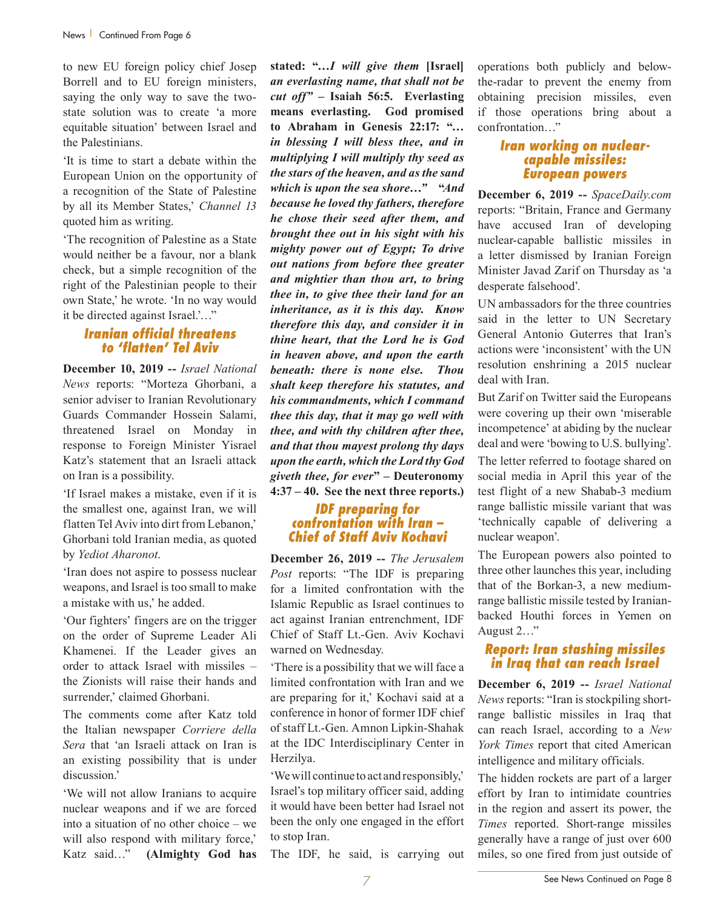to new EU foreign policy chief Josep Borrell and to EU foreign ministers, saying the only way to save the twostate solution was to create 'a more equitable situation' between Israel and the Palestinians.

'It is time to start a debate within the European Union on the opportunity of a recognition of the State of Palestine by all its Member States,' *Channel 13* quoted him as writing.

'The recognition of Palestine as a State would neither be a favour, nor a blank check, but a simple recognition of the right of the Palestinian people to their own State,' he wrote. 'In no way would it be directed against Israel.'…"

### *Iranian official threatens to 'flatten' Tel Aviv*

**December 10, 2019 --** *Israel National News* reports: "Morteza Ghorbani, a senior adviser to Iranian Revolutionary Guards Commander Hossein Salami, threatened Israel on Monday in response to Foreign Minister Yisrael Katz's statement that an Israeli attack on Iran is a possibility.

'If Israel makes a mistake, even if it is the smallest one, against Iran, we will flatten Tel Aviv into dirt from Lebanon,' Ghorbani told Iranian media, as quoted by *Yediot Aharonot*.

'Iran does not aspire to possess nuclear weapons, and Israel is too small to make a mistake with us,' he added.

'Our fighters' fingers are on the trigger on the order of Supreme Leader Ali Khamenei. If the Leader gives an order to attack Israel with missiles – the Zionists will raise their hands and surrender,' claimed Ghorbani.

The comments come after Katz told the Italian newspaper *Corriere della Sera* that 'an Israeli attack on Iran is an existing possibility that is under discussion.'

'We will not allow Iranians to acquire nuclear weapons and if we are forced into a situation of no other choice – we will also respond with military force,' Katz said…" **(Almighty God has**  **stated: "…***I will give them* **[Israel]**  *an everlasting name, that shall not be cut off" –* **Isaiah 56:5. Everlasting means everlasting. God promised to Abraham in Genesis 22:17: "***… in blessing I will bless thee, and in multiplying I will multiply thy seed as the stars of the heaven, and as the sand which is upon the sea shore…"* **"***And because he loved thy fathers, therefore he chose their seed after them, and brought thee out in his sight with his mighty power out of Egypt; To drive out nations from before thee greater and mightier than thou art, to bring thee in, to give thee their land for an inheritance, as it is this day. Know therefore this day, and consider it in thine heart, that the Lord he is God in heaven above, and upon the earth beneath: there is none else. Thou shalt keep therefore his statutes, and his commandments, which I command thee this day, that it may go well with thee, and with thy children after thee, and that thou mayest prolong thy days upon the earth, which the Lord thy God giveth thee, for ever***" – Deuteronomy 4:37 – 40. See the next three reports.)**

# *IDF preparing for confrontation with Iran – Chief of Staff Aviv Kochavi*

**December 26, 2019 --** *The Jerusalem Post* reports: "The IDF is preparing for a limited confrontation with the Islamic Republic as Israel continues to act against Iranian entrenchment, IDF Chief of Staff Lt.-Gen. Aviv Kochavi warned on Wednesday.

'There is a possibility that we will face a limited confrontation with Iran and we are preparing for it,' Kochavi said at a conference in honor of former IDF chief of staff Lt.-Gen. Amnon Lipkin-Shahak at the IDC Interdisciplinary Center in Herzilya.

'We will continue to act and responsibly,' Israel's top military officer said, adding it would have been better had Israel not been the only one engaged in the effort to stop Iran.

The IDF, he said, is carrying out

operations both publicly and belowthe-radar to prevent the enemy from obtaining precision missiles, even if those operations bring about a confrontation…"

#### *Iran working on nuclearcapable missiles: European powers*

**December 6, 2019 --** *SpaceDaily.com*  reports: "Britain, France and Germany have accused Iran of developing nuclear-capable ballistic missiles in a letter dismissed by Iranian Foreign Minister Javad Zarif on Thursday as 'a desperate falsehood'.

UN ambassadors for the three countries said in the letter to UN Secretary General Antonio Guterres that Iran's actions were 'inconsistent' with the UN resolution enshrining a 2015 nuclear deal with Iran.

But Zarif on Twitter said the Europeans were covering up their own 'miserable incompetence' at abiding by the nuclear deal and were 'bowing to U.S. bullying'.

The letter referred to footage shared on social media in April this year of the test flight of a new Shabab-3 medium range ballistic missile variant that was 'technically capable of delivering a nuclear weapon'.

The European powers also pointed to three other launches this year, including that of the Borkan-3, a new mediumrange ballistic missile tested by Iranianbacked Houthi forces in Yemen on August 2…"

# *Report: Iran stashing missiles in Iraq that can reach Israel*

**December 6, 2019 --** *Israel National News* reports: "Iran is stockpiling shortrange ballistic missiles in Iraq that can reach Israel, according to a *New York Times* report that cited American intelligence and military officials.

The hidden rockets are part of a larger effort by Iran to intimidate countries in the region and assert its power, the *Times* reported. Short-range missiles generally have a range of just over 600 miles, so one fired from just outside of